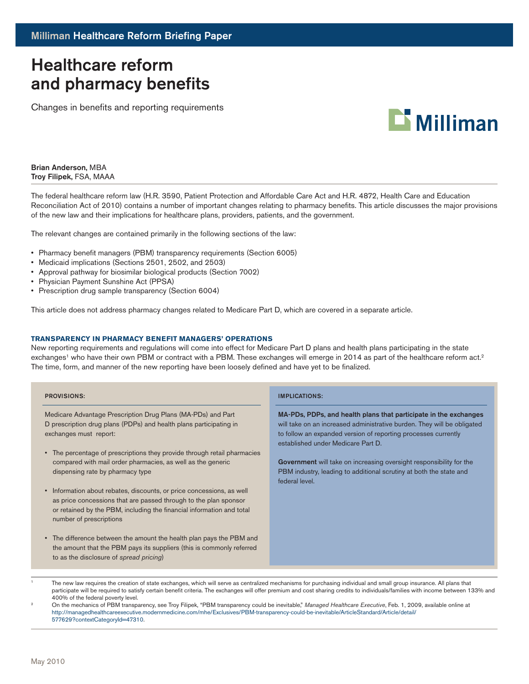# Healthcare reform and pharmacy benefits

Changes in benefits and reporting requirements



Brian Anderson, MBA Troy Filipek, FSA, MAAA

The federal healthcare reform law (H.R. 3590, Patient Protection and Affordable Care Act and H.R. 4872, Health Care and Education Reconciliation Act of 2010) contains a number of important changes relating to pharmacy benefits. This article discusses the major provisions of the new law and their implications for healthcare plans, providers, patients, and the government.

The relevant changes are contained primarily in the following sections of the law:

- Pharmacy benefit managers (PBM) transparency requirements (Section 6005)
- Medicaid implications (Sections 2501, 2502, and 2503)
- • Approval pathway for biosimilar biological products (Section 7002)
- Physician Payment Sunshine Act (PPSA)
- Prescription drug sample transparency (Section 6004)

This article does not address pharmacy changes related to Medicare Part D, which are covered in a separate article.

### **Transparency in pharmacy benefit managers' operations**

New reporting requirements and regulations will come into effect for Medicare Part D plans and health plans participating in the state exchanges<sup>1</sup> who have their own PBM or contract with a PBM. These exchanges will emerge in 2014 as part of the healthcare reform act.<sup>2</sup> The time, form, and manner of the new reporting have been loosely defined and have yet to be finalized.

| <b>PROVISIONS:</b>                                                                                                                                                                                                                                       | <b>IMPLICATIONS:</b>                                                                                                                                                                                                                                |
|----------------------------------------------------------------------------------------------------------------------------------------------------------------------------------------------------------------------------------------------------------|-----------------------------------------------------------------------------------------------------------------------------------------------------------------------------------------------------------------------------------------------------|
| Medicare Advantage Prescription Drug Plans (MA-PDs) and Part<br>D prescription drug plans (PDPs) and health plans participating in<br>exchanges must report:                                                                                             | MA-PDs, PDPs, and health plans that participate in the exchanges<br>will take on an increased administrative burden. They will be obligated<br>to follow an expanded version of reporting processes currently<br>established under Medicare Part D. |
| • The percentage of prescriptions they provide through retail pharmacies<br>compared with mail order pharmacies, as well as the generic<br>dispensing rate by pharmacy type                                                                              | <b>Government</b> will take on increasing oversight responsibility for the<br>PBM industry, leading to additional scrutiny at both the state and<br>federal level.                                                                                  |
| Information about rebates, discounts, or price concessions, as well<br>$\bullet$<br>as price concessions that are passed through to the plan sponsor<br>or retained by the PBM, including the financial information and total<br>number of prescriptions |                                                                                                                                                                                                                                                     |
| • The difference between the amount the health plan pays the PBM and<br>the amount that the PBM pays its suppliers (this is commonly referred<br>to as the disclosure of spread pricing)                                                                 |                                                                                                                                                                                                                                                     |

The new law requires the creation of state exchanges, which will serve as centralized mechanisms for purchasing individual and small group insurance. All plans that participate will be required to satisfy certain benefit criteria. The exchanges will offer premium and cost sharing credits to individuals/families with income between 133% and 400% of the federal poverty level.

<sup>2</sup> On the mechanics of PBM transparency, see Troy Filipek, "PBM transparency could be inevitable," *Managed Healthcare Executive*, Feb. 1, 2009, available online at http://managedhealthcareexecutive.modernmedicine.com/mhe/Exclusives/PBM-transparency-could-be-inevitable/ArticleStandard/Article/detail/ 577629?contextCategoryId=47310.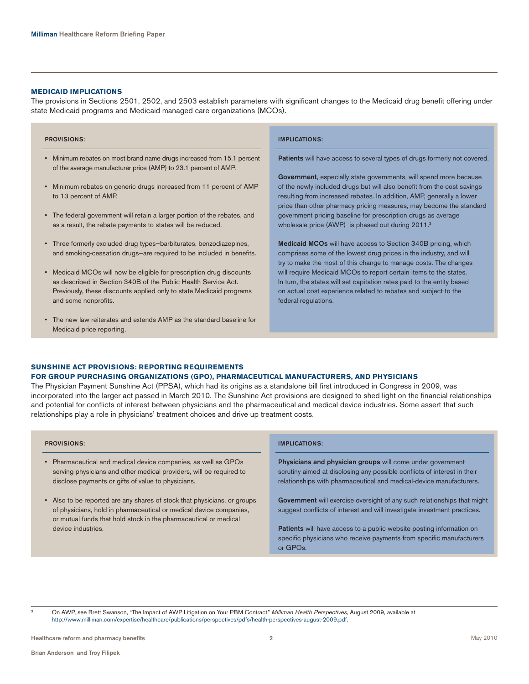### **Medicaid implications**

The provisions in Sections 2501, 2502, and 2503 establish parameters with significant changes to the Medicaid drug benefit offering under state Medicaid programs and Medicaid managed care organizations (MCOs).

### Provisions:

- • Minimum rebates on most brand name drugs increased from 15.1 percent of the average manufacturer price (AMP) to 23.1 percent of AMP.
- Minimum rebates on generic drugs increased from 11 percent of AMP to 13 percent of AMP.
- • The federal government will retain a larger portion of the rebates, and as a result, the rebate payments to states will be reduced.
- Three formerly excluded drug types-barbiturates, benzodiazepines, and smoking-cessation drugs—are required to be included in benefits.
- Medicaid MCOs will now be eligible for prescription drug discounts as described in Section 340B of the Public Health Service Act. Previously, these discounts applied only to state Medicaid programs and some nonprofits.
- • The new law reiterates and extends AMP as the standard baseline for Medicaid price reporting.

### Implications:

Patients will have access to several types of drugs formerly not covered.

Government, especially state governments, will spend more because of the newly included drugs but will also benefit from the cost savings resulting from increased rebates. In addition, AMP, generally a lower price than other pharmacy pricing measures, may become the standard government pricing baseline for prescription drugs as average wholesale price (AWP) is phased out during 2011.<sup>3</sup>

Medicaid MCOs will have access to Section 340B pricing, which comprises some of the lowest drug prices in the industry, and will try to make the most of this change to manage costs. The changes will require Medicaid MCOs to report certain items to the states. In turn, the states will set capitation rates paid to the entity based on actual cost experience related to rebates and subject to the federal regulations.

### **Sunshine Act provisions: reporting requirements for group purchasing organizations (GPO), pharmaceutical manufacturers, and physicians**

The Physician Payment Sunshine Act (PPSA), which had its origins as a standalone bill first introduced in Congress in 2009, was incorporated into the larger act passed in March 2010. The Sunshine Act provisions are designed to shed light on the financial relationships and potential for conflicts of interest between physicians and the pharmaceutical and medical device industries. Some assert that such relationships play a role in physicians' treatment choices and drive up treatment costs.

| <b>PROVISIONS:</b>                                                                                                                                                                                                 | <b>IMPLICATIONS:</b>                                                                                                                                                                                          |
|--------------------------------------------------------------------------------------------------------------------------------------------------------------------------------------------------------------------|---------------------------------------------------------------------------------------------------------------------------------------------------------------------------------------------------------------|
| Pharmaceutical and medical device companies, as well as GPOs<br>$\bullet$<br>serving physicians and other medical providers, will be required to<br>disclose payments or gifts of value to physicians.             | Physicians and physician groups will come under government<br>scrutiny aimed at disclosing any possible conflicts of interest in their<br>relationships with pharmaceutical and medical-device manufacturers. |
| • Also to be reported are any shares of stock that physicians, or groups<br>of physicians, hold in pharmaceutical or medical device companies,<br>or mutual funds that hold stock in the pharmaceutical or medical | Government will exercise oversight of any such relationships that might<br>suggest conflicts of interest and will investigate investment practices.                                                           |
| device industries.                                                                                                                                                                                                 | Patients will have access to a public website posting information on<br>specific physicians who receive payments from specific manufacturers<br>or GPO <sub>s</sub> .                                         |

<sup>3</sup> On AWP, see Brett Swanson, "The Impact of AWP Litigation on Your PBM Contract," *Milliman Health Perspectives*, August 2009, available at http://www.milliman.com/expertise/healthcare/publications/perspectives/pdfs/health-perspectives-august-2009.pdf.